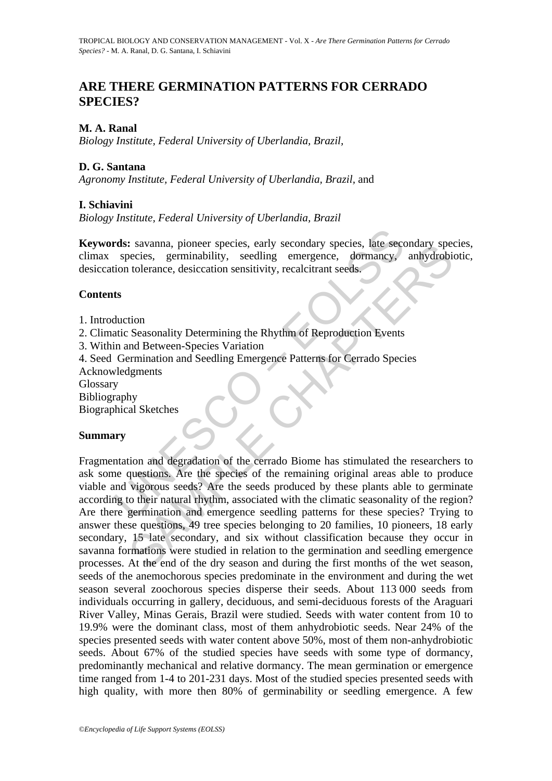# **ARE THERE GERMINATION PATTERNS FOR CERRADO SPECIES?**

### **M. A. Ranal**

*Biology Institute, Federal University of Uberlandia, Brazil,*

### **D. G. Santana**

*Agronomy Institute, Federal University of Uberlandia, Brazil,* and

### **I. Schiavini**

*Biology Institute, Federal University of Uberlandia, Brazil*

**Keywords:** savanna, pioneer species, early secondary species, late secondary species, climax species, germinability, seedling emergence, dormancy, anhydrobiotic, desiccation tolerance, desiccation sensitivity, recalcitrant seeds.

### **Contents**

- 1. Introduction
- 2. Climatic Seasonality Determining the Rhythm of Reproduction Events
- 3. Within and Between-Species Variation

4. Seed Germination and Seedling Emergence Patterns for Cerrado Species

Acknowledgments

**Glossary** 

Bibliography

Biographical Sketches

### **Summary**

**rds:** savanna, pioneer species, early secondary species, late sec<br>species, germinability, seedling emergence, dormancy,<br>tion tolerance, desiccation sensitivity, recalcitrant seeds.<br>**ts**<br>duction<br>datic Seasonality Determini Savanna, pioneer species, early secondary species, tate secondary speecies, germinability, seedling emergence, domancy, anhydrobition-<br>tolerance, desiccation sensitivity, recalcitrant seeds.<br>Moreover the Sex and Between-Sp Fragmentation and degradation of the cerrado Biome has stimulated the researchers to ask some questions. Are the species of the remaining original areas able to produce viable and vigorous seeds? Are the seeds produced by these plants able to germinate according to their natural rhythm, associated with the climatic seasonality of the region? Are there germination and emergence seedling patterns for these species? Trying to answer these questions, 49 tree species belonging to 20 families, 10 pioneers, 18 early secondary, 15 late secondary, and six without classification because they occur in savanna formations were studied in relation to the germination and seedling emergence processes. At the end of the dry season and during the first months of the wet season, seeds of the anemochorous species predominate in the environment and during the wet season several zoochorous species disperse their seeds. About 113 000 seeds from individuals occurring in gallery, deciduous, and semi-deciduous forests of the Araguari River Valley, Minas Gerais, Brazil were studied. Seeds with water content from 10 to 19.9% were the dominant class, most of them anhydrobiotic seeds. Near 24% of the species presented seeds with water content above 50%, most of them non-anhydrobiotic seeds. About 67% of the studied species have seeds with some type of dormancy, predominantly mechanical and relative dormancy. The mean germination or emergence time ranged from 1-4 to 201-231 days. Most of the studied species presented seeds with high quality, with more then 80% of germinability or seedling emergence. A few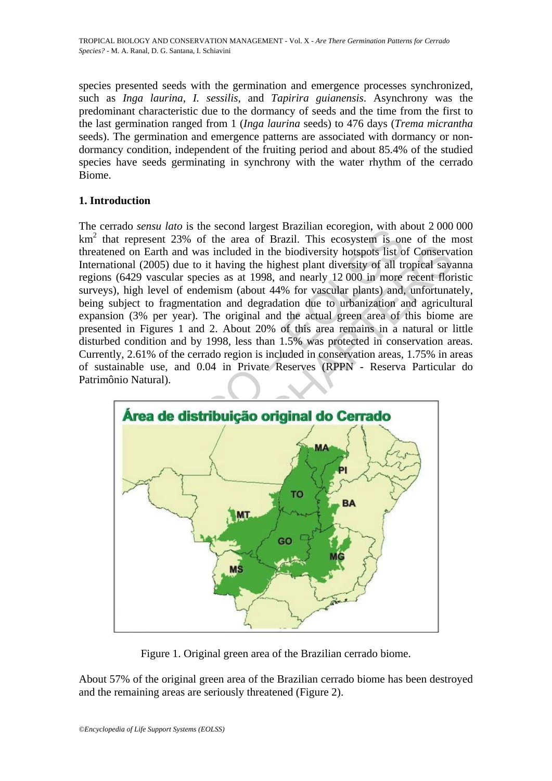species presented seeds with the germination and emergence processes synchronized, such as *Inga laurina*, *I. sessilis*, and *Tapirira guianensis*. Asynchrony was the predominant characteristic due to the dormancy of seeds and the time from the first to the last germination ranged from 1 (*Inga laurina* seeds) to 476 days (*Trema micrantha* seeds). The germination and emergence patterns are associated with dormancy or nondormancy condition, independent of the fruiting period and about 85.4% of the studied species have seeds germinating in synchrony with the water rhythm of the cerrado Biome.

## **1. Introduction**

at the state of the second lagest Brazillar ecologion, what are the state of the area of Brazil. This ecosystem is oned on Earth and was included in the biodiversity hotspots list of the area of Brazil. This ecosystem is o The cerrado *sensu lato* is the second largest Brazilian ecoregion, with about 2 000 000 km<sup>2</sup> that represent 23% of the area of Brazil. This ecosystem is one of the most threatened on Earth and was included in the biodiversity hotspots list of Conservation International (2005) due to it having the highest plant diversity of all tropical savanna regions (6429 vascular species as at 1998, and nearly 12 000 in more recent floristic surveys), high level of endemism (about 44% for vascular plants) and, unfortunately, being subject to fragmentation and degradation due to urbanization and agricultural expansion (3% per year). The original and the actual green area of this biome are presented in Figures 1 and 2. About 20% of this area remains in a natural or little disturbed condition and by 1998, less than 1.5% was protected in conservation areas. Currently, 2.61% of the cerrado region is included in conservation areas, 1.75% in areas of sustainable use, and 0.04 in Private Reserves (RPPN - Reserva Particular do Patrimônio Natural).



Figure 1. Original green area of the Brazilian cerrado biome.

About 57% of the original green area of the Brazilian cerrado biome has been destroyed and the remaining areas are seriously threatened (Figure 2).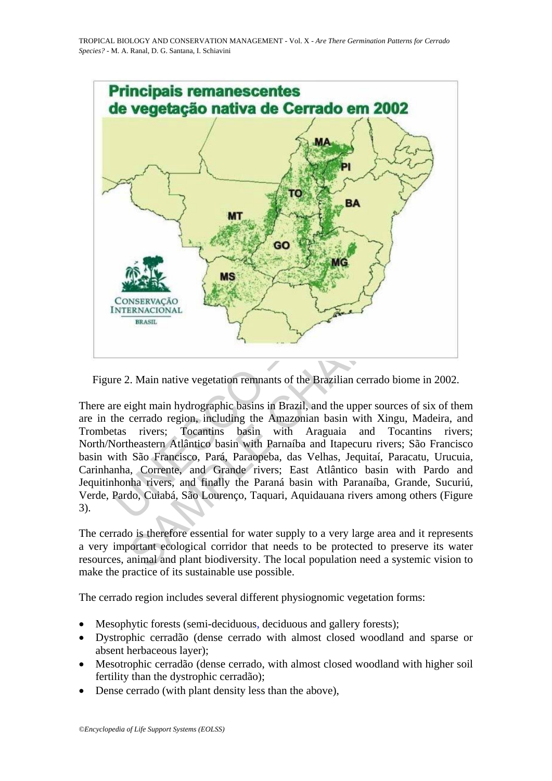

Figure 2. Main native vegetation remnants of the Brazilian cerrado biome in 2002.

There are eight main hydrographic basins in Brazil, and the upper sources of six of them are in the cerrado region, including the Amazonian basin with Xingu, Madeira, and Trombetas rivers; Tocantins basin with Araguaia and Tocantins rivers; North/Northeastern Atlântico basin with Parnaíba and Itapecuru rivers; São Francisco basin with São Francisco, Pará, Paraopeba, das Velhas, Jequitaí, Paracatu, Urucuia, Carinhanha, Corrente, and Grande rivers; East Atlântico basin with Pardo and Jequitinhonha rivers, and finally the Paraná basin with Paranaíba, Grande, Sucuriú, Verde, Pardo, Cuiabá, São Lourenço, Taquari, Aquidauana rivers among others (Figure 3).

The cerrado is therefore essential for water supply to a very large area and it represents a very important ecological corridor that needs to be protected to preserve its water resources, animal and plant biodiversity. The local population need a systemic vision to make the practice of its sustainable use possible.

The cerrado region includes several different physiognomic vegetation forms:

- Mesophytic forests (semi-deciduous, deciduous and gallery forests);
- Dystrophic cerradão (dense cerrado with almost closed woodland and sparse or absent herbaceous layer);
- Mesotrophic cerradão (dense cerrado, with almost closed woodland with higher soil fertility than the dystrophic cerradão);
- Dense cerrado (with plant density less than the above),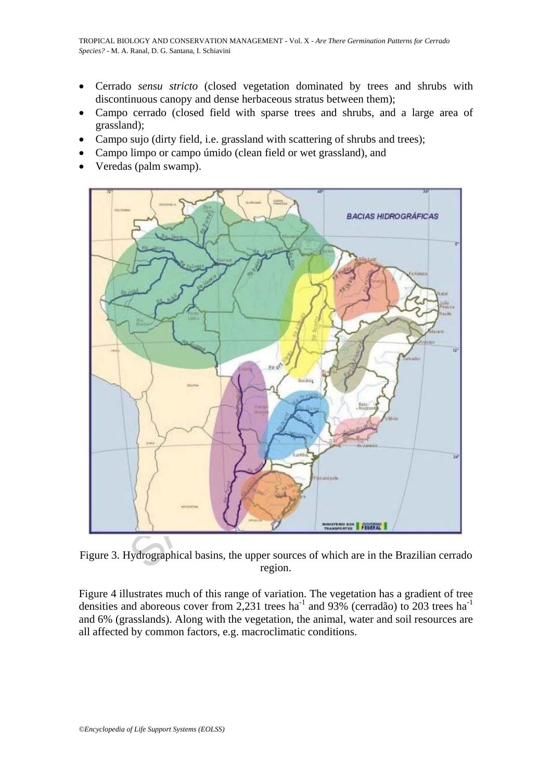- Cerrado *sensu stricto* (closed vegetation dominated by trees and shrubs with discontinuous canopy and dense herbaceous stratus between them);
- Campo cerrado (closed field with sparse trees and shrubs, and a large area of grassland);
- Campo sujo (dirty field, i.e. grassland with scattering of shrubs and trees);
- Campo limpo or campo úmido (clean field or wet grassland), and
- Veredas (palm swamp).



Figure 3. Hydrographical basins, the upper sources of which are in the Brazilian cerrado region.

Figure 4 illustrates much of this range of variation. The vegetation has a gradient of tree densities and aboreous cover from 2,231 trees ha<sup>-1</sup> and 93% (cerradão) to 203 trees ha<sup>-1</sup> and 6% (grasslands). Along with the vegetation, the animal, water and soil resources are all affected by common factors, e.g. macroclimatic conditions.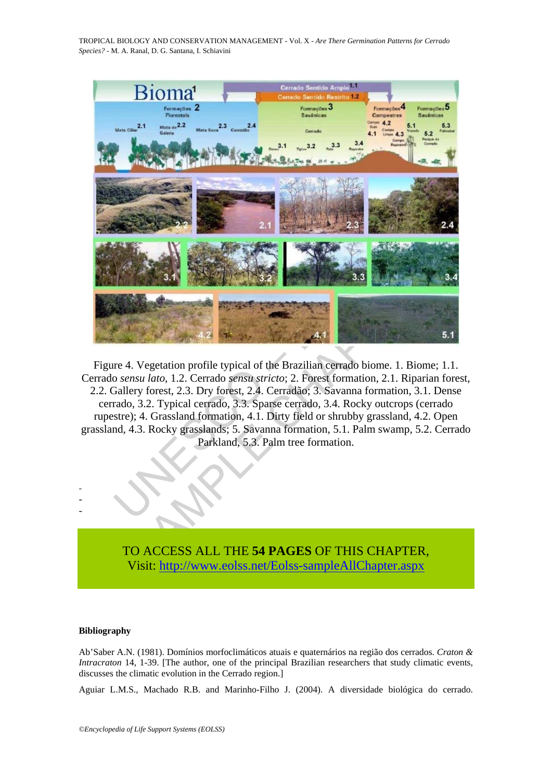TROPICAL BIOLOGY AND CONSERVATION MANAGEMENT - Vol. X - *Are There Germination Patterns for Cerrado Species?* - M. A. Ranal, D. G. Santana, I. Schiavini



Figure 4. Vegetation profile typical of the Brazilian cerrado biome. 1. Biome; 1.1. Cerrado *sensu lato*, 1.2. Cerrado *sensu stricto*; 2. Forest formation, 2.1. Riparian forest, 2.2. Gallery forest, 2.3. Dry forest, 2.4. Cerradão; 3. Savanna formation, 3.1. Dense cerrado, 3.2. Typical cerrado, 3.3. Sparse cerrado, 3.4. Rocky outcrops (cerrado rupestre); 4. Grassland formation, 4.1. Dirty field or shrubby grassland, 4.2. Open grassland, 4.3. Rocky grasslands; 5. Savanna formation, 5.1. Palm swamp, 5.2. Cerrado Parkland, 5.3. Palm tree formation.

> TO ACCESS ALL THE **54 PAGES** OF THIS CHAPTER, Visit: [http://www.eolss.net/Eolss-sampleAllChapter.aspx](https://www.eolss.net/ebooklib/sc_cart.aspx?File=E6-142-SE-09)

#### **Bibliography**

- - -

Ab'Saber A.N. (1981). Domínios morfoclimáticos atuais e quaternários na região dos cerrados. *Craton & Intracraton* 14, 1-39. [The author, one of the principal Brazilian researchers that study climatic events, discusses the climatic evolution in the Cerrado region.]

Aguiar L.M.S., Machado R.B. and Marinho-Filho J. (2004). A diversidade biológica do cerrado.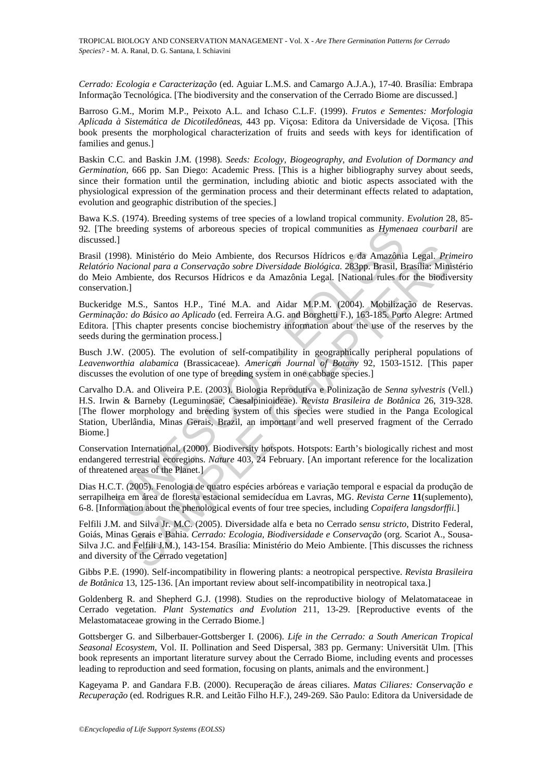*Cerrado: Ecologia e Caracterização* (ed. Aguiar L.M.S. and Camargo A.J.A.), 17-40. Brasília: Embrapa Informação Tecnológica. [The biodiversity and the conservation of the Cerrado Biome are discussed.]

Barroso G.M., Morim M.P., Peixoto A.L. and Ichaso C.L.F. (1999). *Frutos e Sementes: Morfologia Aplicada à Sistemática de Dicotiledôneas*, 443 pp. Viçosa: Editora da Universidade de Viçosa. [This book presents the morphological characterization of fruits and seeds with keys for identification of families and genus.]

Baskin C.C. and Baskin J.M. (1998). *Seeds: Ecology, Biogeography, and Evolution of Dormancy and Germination*, 666 pp. San Diego: Academic Press. [This is a higher bibliography survey about seeds, since their formation until the germination, including abiotic and biotic aspects associated with the physiological expression of the germination process and their determinant effects related to adaptation, evolution and geographic distribution of the species.]

Bawa K.S. (1974). Breeding systems of tree species of a lowland tropical community. *Evolution* 28, 85- 92. [The breeding systems of arboreous species of tropical communities as *Hymenaea courbaril* are discussed.]

Brasil (1998). Ministério do Meio Ambiente, dos Recursos Hídricos e da Amazônia Legal. *Primeiro Relatório Nacional para a Conservação sobre Diversidade Biológica*. 283pp. Brasil, Brasília: Ministério do Meio Ambiente, dos Recursos Hídricos e da Amazônia Legal. [National rules for the biodiversity conservation.]

Buckeridge M.S., Santos H.P., Tiné M.A. and Aidar M.P.M. (2004). Mobilização de Reservas. *Germinação: do Básico ao Aplicado* (ed. Ferreira A.G. and Borghetti F.), 163-185. Porto Alegre: Artmed Editora. [This chapter presents concise biochemistry information about the use of the reserves by the seeds during the germination process.]

Busch J.W. (2005). The evolution of self-compatibility in geographically peripheral populations of *Leavenworthia alabamica* (Brassicaceae). *American Journal of Botany* 92, 1503-1512. [This paper discusses the evolution of one type of breeding system in one cabbage species.]

breding systems of arboreous species of tropical communities as *Hymen.*<br>
1-1]<br>
998). Ministério do Meio Ambiente, dos Recursos Hídricos e da Amazônia<br>
998). Ministério do Meio Ambiente, dos Recursos Hídricos e da Amazônia ). Ministério do Meio Ambiente, dos Recursos Hídricos e da Amazônia Legal. *Pricional para a Conservação sobre Diversidade Biológica*. 283pp. Brasil, Brasília: Ministérie, dos Recursos Hídricos e da Amazônia Legal. [Natio Carvalho D.A. and Oliveira P.E. (2003). Biologia Reprodutiva e Polinização de *Senna sylvestris* (Vell.) H.S. Irwin & Barneby (Leguminosae, Caesalpinioideae). *Revista Brasileira de Botânica* 26, 319-328. [The flower morphology and breeding system of this species were studied in the Panga Ecological Station, Uberlândia, Minas Gerais, Brazil, an important and well preserved fragment of the Cerrado Biome.]

Conservation International. (2000). Biodiversity hotspots. Hotspots: Earth's biologically richest and most endangered terrestrial ecoregions. *Nature* 403, 24 February. [An important reference for the localization of threatened areas of the Planet.]

Dias H.C.T. (2005). Fenologia de quatro espécies arbóreas e variação temporal e espacial da produção de serrapilheira em área de floresta estacional semidecídua em Lavras, MG. *Revista Cerne* **11**(suplemento), 6-8. [Information about the phenological events of four tree species, including *Copaifera langsdorffii.*]

Felfili J.M. and Silva Jr. M.C. (2005). Diversidade alfa e beta no Cerrado s*ensu stricto*, Distrito Federal, Goiás, Minas Gerais e Bahia. *Cerrado: Ecologia, Biodiversidade e Conservação* (org. Scariot A., Sousa-Silva J.C. and Felfili J.M.), 143-154. Brasília: Ministério do Meio Ambiente. [This discusses the richness and diversity of the Cerrado vegetation]

Gibbs P.E. (1990). Self-incompatibility in flowering plants: a neotropical perspective. *Revista Brasileira de Botânica* 13, 125-136. [An important review about self-incompatibility in neotropical taxa.]

Goldenberg R. and Shepherd G.J. (1998). Studies on the reproductive biology of Melatomataceae in Cerrado vegetation. *Plant Systematics and Evolution* 211, 13-29. [Reproductive events of the Melastomataceae growing in the Cerrado Biome.]

Gottsberger G. and Silberbauer-Gottsberger I. (2006). *Life in the Cerrado: a South American Tropical Seasonal Ecosystem*, Vol. II. Pollination and Seed Dispersal, 383 pp. Germany: Universität Ulm. [This book represents an important literature survey about the Cerrado Biome, including events and processes leading to reproduction and seed formation, focusing on plants, animals and the environment.]

Kageyama P. and Gandara F.B. (2000). Recuperação de áreas ciliares. *Matas Ciliares: Conservação e Recuperação* (ed. Rodrigues R.R. and Leitão Filho H.F.), 249-269. São Paulo: Editora da Universidade de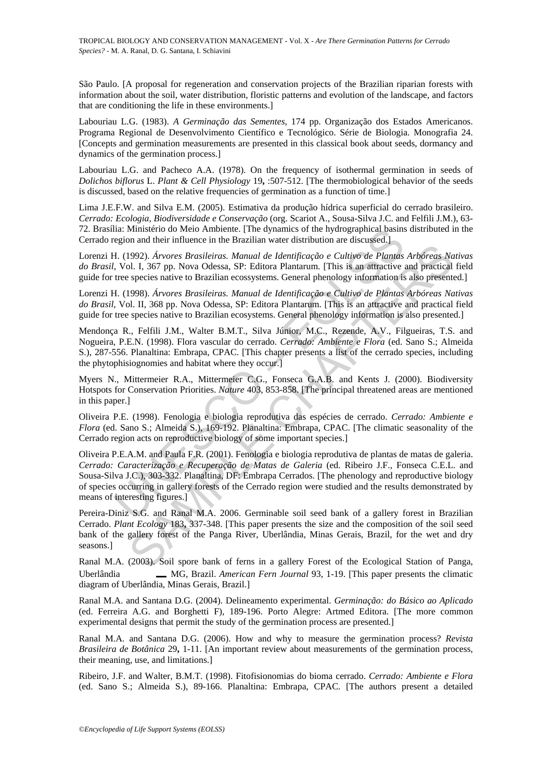São Paulo. [A proposal for regeneration and conservation projects of the Brazilian riparian forests with information about the soil, water distribution, floristic patterns and evolution of the landscape, and factors that are conditioning the life in these environments.]

Labouriau L.G. (1983). *A Germinação das Sementes*, 174 pp. Organização dos Estados Americanos. Programa Regional de Desenvolvimento Científico e Tecnológico. Série de Biologia. Monografia 24. [Concepts and germination measurements are presented in this classical book about seeds, dormancy and dynamics of the germination process.]

Labouriau L.G. and Pacheco A.A. (1978). On the frequency of isothermal germination in seeds of *Dolichos biflorus* L. *Plant & Cell Physiology* 19**,** :507-512. [The thermobiological behavior of the seeds is discussed, based on the relative frequencies of germination as a function of time.]

Lima J.E.F.W. and Silva E.M. (2005). Estimativa da produção hídrica superficial do cerrado brasileiro. *Cerrado: Ecologia, Biodiversidade e Conservação* (org. Scariot A., Sousa-Silva J.C. and Felfili J.M.), 63- 72. Brasília: Ministério do Meio Ambiente. [The dynamics of the hydrographical basins distributed in the Cerrado region and their influence in the Brazilian water distribution are discussed.]

Lorenzi H. (1992). *Árvores Brasileiras. Manual de Identificação e Cultivo de Plantas Arbóreas Nativas do Brasil*, Vol. I, 367 pp. Nova Odessa, SP: Editora Plantarum. [This is an attractive and practical field guide for tree species native to Brazilian ecossystems. General phenology information is also presented.]

Lorenzi H. (1998). *Árvores Brasileiras. Manual de Identificação e Cultivo de Plantas Arbóreas Nativas do Brasil*, Vol. II, 368 pp. Nova Odessa, SP: Editora Plantarum. [This is an attractive and practical field guide for tree species native to Brazilian ecosystems. General phenology information is also presented.]

Mendonça R., Felfili J.M., Walter B.M.T., Silva Júnior, M.C., Rezende, A.V., Filgueiras, T.S. and Nogueira, P.E.N. (1998). Flora vascular do cerrado. *Cerrado: Ambiente e Flora* (ed. Sano S.; Almeida S.), 287-556. Planaltina: Embrapa, CPAC. [This chapter presents a list of the cerrado species, including the phytophisiognomies and habitat where they occur.]

Myers N., Mittermeier R.A., Mittermeier C.G., Fonseca G.A.B. and Kents J. (2000). Biodiversity Hotspots for Conservation Priorities. *Nature* 403, 853-858. [The principal threatened areas are mentioned in this paper.]

Oliveira P.E. (1998). Fenologia e biologia reprodutiva das espécies de cerrado. *Cerrado: Ambiente e Flora* (ed. Sano S.; Almeida S.), 169-192. Planaltina: Embrapa, CPAC. [The climatic seasonality of the Cerrado region acts on reproductive biology of some important species.]

Ia: Ministério do Meio Ambiente. [The dynamics of the hydrographical basins<br>egion and their influence in the Brazilian water distribution are discussed.]<br>4. (1992). *Arvores Brasileiras. Manual de Identificação e Cultivo d* 1992). Árvores Brasileiras. Manual de Identificação e Cultivo de Plantas Arbóreas Na<br/>0.1, 367 pp. Nova Odessa, SP: Editora Plantarum. [This is an attractive and practical<br>ol. I, 367 pp. Nova Odessa, SP: Editora Plantar Oliveira P.E.A.M. and Paula F.R. (2001). Fenologia e biologia reprodutiva de plantas de matas de galeria. *Cerrado: Caracterização e Recuperação de Matas de Galeria* (ed. Ribeiro J.F., Fonseca C.E.L. and Sousa-Silva J.C.), 303-332. Planaltina, DF: Embrapa Cerrados. [The phenology and reproductive biology of species occurring in gallery forests of the Cerrado region were studied and the results demonstrated by means of interesting figures.]

Pereira-Diniz S.G. and Ranal M.A. 2006. Germinable soil seed bank of a gallery forest in Brazilian Cerrado. *Plant Ecology* 183**,** 337-348. [This paper presents the size and the composition of the soil seed bank of the gallery forest of the Panga River, Uberlândia, Minas Gerais, Brazil, for the wet and dry seasons.]

Ranal M.A. (2003). Soil spore bank of ferns in a gallery Forest of the Ecological Station of Panga, Uberlândia MG, Brazil. *American Fern Journal* 93, 1-19. [This paper presents the climatic diagram of Uberlândia, Minas Gerais, Brazil.]

Ranal M.A. and Santana D.G. (2004). Delineamento experimental. *Germinação: do Básico ao Aplicado* (ed. Ferreira A.G. and Borghetti F), 189-196. Porto Alegre: Artmed Editora. [The more common experimental designs that permit the study of the germination process are presented.]

Ranal M.A. and Santana D.G. (2006). How and why to measure the germination process? *Revista Brasileira de Botânica* 29**,** 1-11. [An important review about measurements of the germination process, their meaning, use, and limitations.]

Ribeiro, J.F. and Walter, B.M.T. (1998). Fitofisionomias do bioma cerrado. *Cerrado: Ambiente e Flora* (ed. Sano S.; Almeida S.), 89-166. Planaltina: Embrapa, CPAC. [The authors present a detailed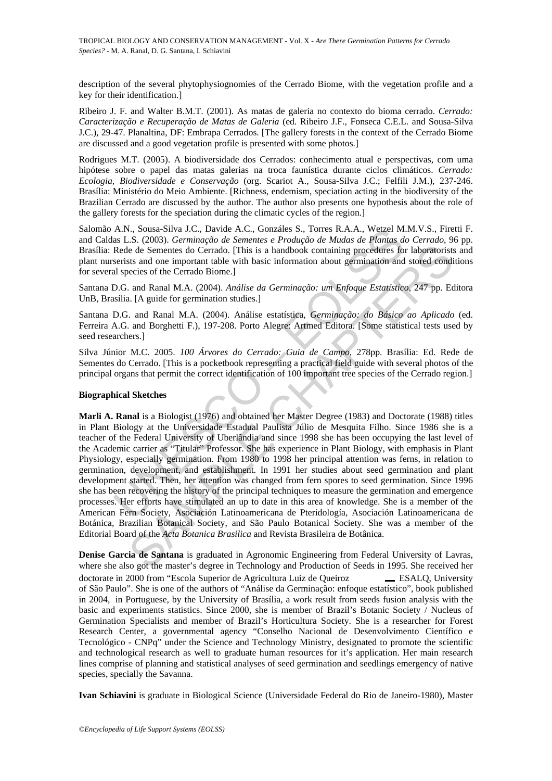description of the several phytophysiognomies of the Cerrado Biome, with the vegetation profile and a key for their identification.]

Ribeiro J. F. and Walter B.M.T. (2001). As matas de galeria no contexto do bioma cerrado. *Cerrado: Caracterização e Recuperação de Matas de Galeria* (ed. Ribeiro J.F., Fonseca C.E.L. and Sousa-Silva J.C.), 29-47. Planaltina, DF: Embrapa Cerrados. [The gallery forests in the context of the Cerrado Biome are discussed and a good vegetation profile is presented with some photos.]

Rodrigues M.T. (2005). A biodiversidade dos Cerrados: conhecimento atual e perspectivas, com uma hipótese sobre o papel das matas galerias na troca faunística durante ciclos climáticos. *Cerrado: Ecologia, Biodiversidade e Conservação* (org. Scariot A., Sousa-Silva J.C.; Felfili J.M.), 237-246. Brasília: Ministério do Meio Ambiente. [Richness, endemism, speciation acting in the biodiversity of the Brazilian Cerrado are discussed by the author. The author also presents one hypothesis about the role of the gallery forests for the speciation during the climatic cycles of the region.]

Salomão A.N., Sousa-Silva J.C., Davide A.C., Gonzáles S., Torres R.A.A., Wetzel M.M.V.S., Firetti F. and Caldas L.S. (2003). *Germinação de Sementes e Produção de Mudas de Plantas do Cerrado*, 96 pp. Brasília: Rede de Sementes do Cerrado. [This is a handbook containing procedures for laboratorists and plant nurserists and one important table with basic information about germination and stored conditions for several species of the Cerrado Biome.]

Santana D.G. and Ranal M.A. (2004). *Análise da Germinação: um Enfoque Estatístico*, 247 pp. Editora UnB, Brasília. [A guide for germination studies.]

Santana D.G. and Ranal M.A. (2004). Análise estatística, *Germinação: do Básico ao Aplicado* (ed. Ferreira A.G. and Borghetti F.), 197-208. Porto Alegre: Artmed Editora. [Some statistical tests used by seed researchers.]

Silva Júnior M.C. 2005. *100 Árvores do Cerrado: Guia de Campo*, 278pp. Brasília: Ed. Rede de Sementes do Cerrado. [This is a pocketbook representing a practical field guide with several photos of the principal organs that permit the correct identification of 100 important tree species of the Cerrado region.]

#### **Biographical Sketches**

A.N., Sousa-Silva J.C., Davide A.C., Gionzáles S., Torres R.A.A., Wetzel M.<br>as L.S. (2003). *Germinação de Sementes e Produção de Mudas de Plantas de Cela,* Sous Cerrado. [This is a handbook containing procedures for<br>seris ie de Sementes do Cerrado. [This is a handbook containing procedures for laboratorists<br>stand one important table with basic information about germination and stored condi<br>ocisios and one important table with basic informa **Marli A. Ranal** is a Biologist (1976) and obtained her Master Degree (1983) and Doctorate (1988) titles in Plant Biology at the Universidade Estadual Paulista Júlio de Mesquita Filho. Since 1986 she is a teacher of the Federal University of Uberlândia and since 1998 she has been occupying the last level of the Academic carrier as "Titular" Professor. She has experience in Plant Biology, with emphasis in Plant Physiology, especially germination. From 1980 to 1998 her principal attention was ferns, in relation to germination, development, and establishment. In 1991 her studies about seed germination and plant development started. Then, her attention was changed from fern spores to seed germination. Since 1996 she has been recovering the history of the principal techniques to measure the germination and emergence processes. Her efforts have stimulated an up to date in this area of knowledge. She is a member of the American Fern Society, Asociación Latinoamericana de Pteridología, Asociación Latinoamericana de Botánica, Brazilian Botanical Society, and São Paulo Botanical Society. She was a member of the Editorial Board of the *Acta Botanica Brasilica* and Revista Brasileira de Botânica.

**Denise Garcia de Santana** is graduated in Agronomic Engineering from Federal University of Lavras, where she also got the master's degree in Technology and Production of Seeds in 1995. She received her doctorate in 2000 from "Escola Superior de Agricultura Luiz de Queiroz ESALQ, University of São Paulo". She is one of the authors of "Análise da Germinação: enfoque estatístico", book published in 2004, in Portuguese, by the University of Brasília, a work result from seeds fusion analysis with the basic and experiments statistics. Since 2000, she is member of Brazil's Botanic Society / Nucleus of Germination Specialists and member of Brazil's Horticultura Society. She is a researcher for Forest Research Center, a governmental agency "Conselho Nacional de Desenvolvimento Científico e Tecnológico - CNPq" under the Science and Technology Ministry, designated to promote the scientific and technological research as well to graduate human resources for it's application. Her main research lines comprise of planning and statistical analyses of seed germination and seedlings emergency of native species, specially the Savanna.

**Ivan Schiavini** is graduate in Biological Science (Universidade Federal do Rio de Janeiro-1980), Master